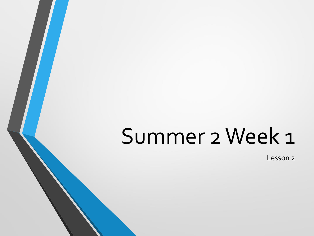# Summer 2 Week 1

Lesson 2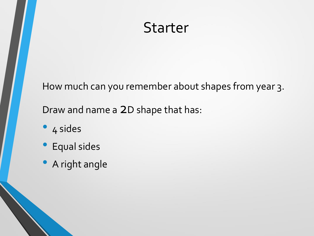### **Starter**

How much can you remember about shapes from year 3.

Draw and name a 2D shape that has:

- 4 sides
- Equal sides
- A right angle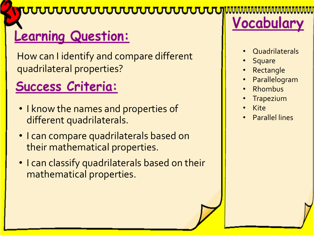#### <mark>ॴॴॴॴॴॴॴॴॴॴॴ</mark>

### **Learning Question:**

How can I identify and compare different quadrilateral properties?

#### **Success Criteria:**

- I know the names and properties of different quadrilaterals.
- I can compare quadrilaterals based on their mathematical properties.
- I can classify quadrilaterals based on their mathematical properties.

## Vocabulary

- Quadrilaterals
- **Square**
- **Rectangle**
- Parallelogram
- Rhombus
- **Trapezium**
- Kite
- Parallel lines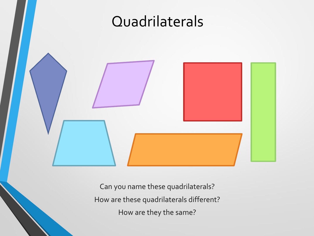

Can you name these quadrilaterals? How are these quadrilaterals different? How are they the same?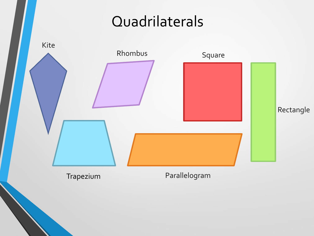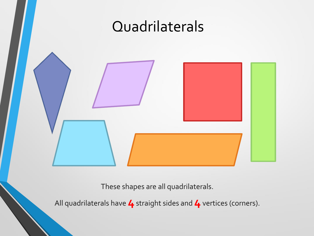



These shapes are all quadrilaterals.

All quadrilaterals have  $\blacktriangle$  straight sides and  $\blacktriangle$  vertices (corners).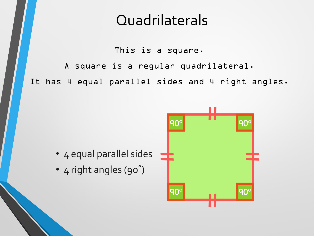This is a square. A square is a regular quadrilateral. It has 4 equal parallel sides and 4 right angles.

- 4 equal parallel sides
- 4 right angles (90˚)

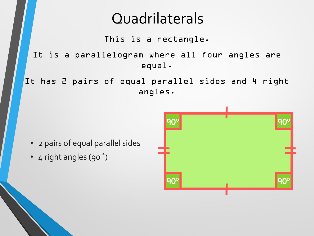This is a rectangle.

It is a parallelogram where all four angles are equal.

It has 2 pairs of equal parallel sides and 4 right angles.

- 2 pairs of equal parallel sides
- 4 right angles (90 ˚)

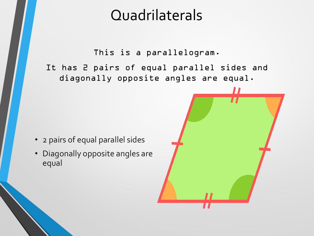This is a parallelogram.

It has 2 pairs of equal parallel sides and diagonally opposite angles are equal.

- 2 pairs of equal parallel sides
- Diagonally opposite angles are equal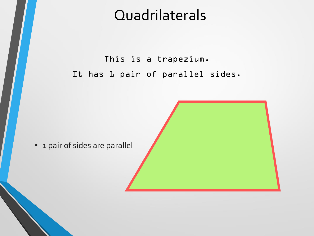#### This is a trapezium. It has 1 pair of parallel sides.

• 1 pair of sides are parallel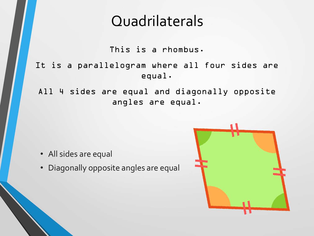This is a rhombus.

#### It is a parallelogram where all four sides are equal.

All 4 sides are equal and diagonally opposite angles are equal.

- All sides are equal
- Diagonally opposite angles are equal

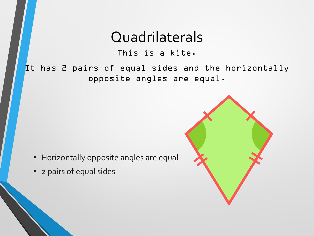This is a kite.

It has 2 pairs of equal sides and the horizontally opposite angles are equal.

- Horizontally opposite angles are equal
- 2 pairs of equal sides

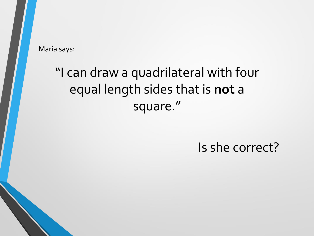Maria says:

#### "I can draw a quadrilateral with four equal length sides that is **not** a square."

Is she correct?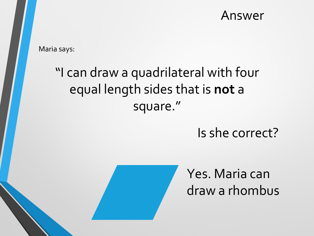#### Answer

Maria says:

### "I can draw a quadrilateral with four equal length sides that is **not** a square."

Is she correct?

Yes. Maria can draw a rhombus